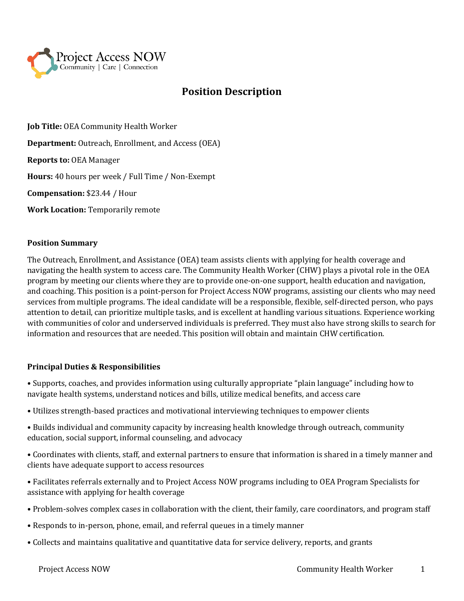

# **Position Description**

**Job Title:** OEA Community Health Worker **Department:** Outreach, Enrollment, and Access (OEA) **Reports to:** OEA Manager **Hours:** 40 hours per week / Full Time / Non-Exempt **Compensation:** \$23.44 / Hour **Work Location:** Temporarily remote

# **Position Summary**

The Outreach, Enrollment, and Assistance (OEA) team assists clients with applying for health coverage and navigating the health system to access care. The Community Health Worker (CHW) plays a pivotal role in the OEA program by meeting our clients where they are to provide one-on-one support, health education and navigation, and coaching. This position is a point-person for Project Access NOW programs, assisting our clients who may need services from multiple programs. The ideal candidate will be a responsible, flexible, self-directed person, who pays attention to detail, can prioritize multiple tasks, and is excellent at handling various situations. Experience working with communities of color and underserved individuals is preferred. They must also have strong skills to search for information and resources that are needed. This position will obtain and maintain CHW certification.

# **Principal Duties & Responsibilities**

• Supports, coaches, and provides information using culturally appropriate "plain language" including how to navigate health systems, understand notices and bills, utilize medical benefits, and access care

- Utilizes strength-based practices and motivational interviewing techniques to empower clients
- Builds individual and community capacity by increasing health knowledge through outreach, community education, social support, informal counseling, and advocacy
- Coordinates with clients, staff, and external partners to ensure that information is shared in a timely manner and clients have adequate support to access resources
- Facilitates referrals externally and to Project Access NOW programs including to OEA Program Specialists for assistance with applying for health coverage
- Problem-solves complex cases in collaboration with the client, their family, care coordinators, and program staff
- Responds to in-person, phone, email, and referral queues in a timely manner
- Collects and maintains qualitative and quantitative data for service delivery, reports, and grants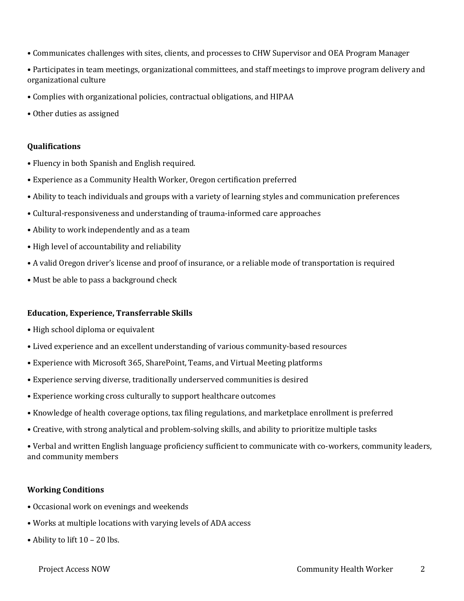- Communicates challenges with sites, clients, and processes to CHW Supervisor and OEA Program Manager
- Participates in team meetings, organizational committees, and staff meetings to improve program delivery and organizational culture
- Complies with organizational policies, contractual obligations, and HIPAA
- Other duties as assigned

# **Qualifications**

- Fluency in both Spanish and English required.
- Experience as a Community Health Worker, Oregon certification preferred
- Ability to teach individuals and groups with a variety of learning styles and communication preferences
- Cultural-responsiveness and understanding of trauma-informed care approaches
- Ability to work independently and as a team
- High level of accountability and reliability
- A valid Oregon driver's license and proof of insurance, or a reliable mode of transportation is required
- Must be able to pass a background check

#### **Education, Experience, Transferrable Skills**

- High school diploma or equivalent
- Lived experience and an excellent understanding of various community-based resources
- Experience with Microsoft 365, SharePoint, Teams, and Virtual Meeting platforms
- Experience serving diverse, traditionally underserved communities is desired
- Experience working cross culturally to support healthcare outcomes
- Knowledge of health coverage options, tax filing regulations, and marketplace enrollment is preferred
- Creative, with strong analytical and problem-solving skills, and ability to prioritize multiple tasks

• Verbal and written English language proficiency sufficient to communicate with co-workers, community leaders, and community members

#### **Working Conditions**

- Occasional work on evenings and weekends
- Works at multiple locations with varying levels of ADA access
- Ability to lift 10 20 lbs.